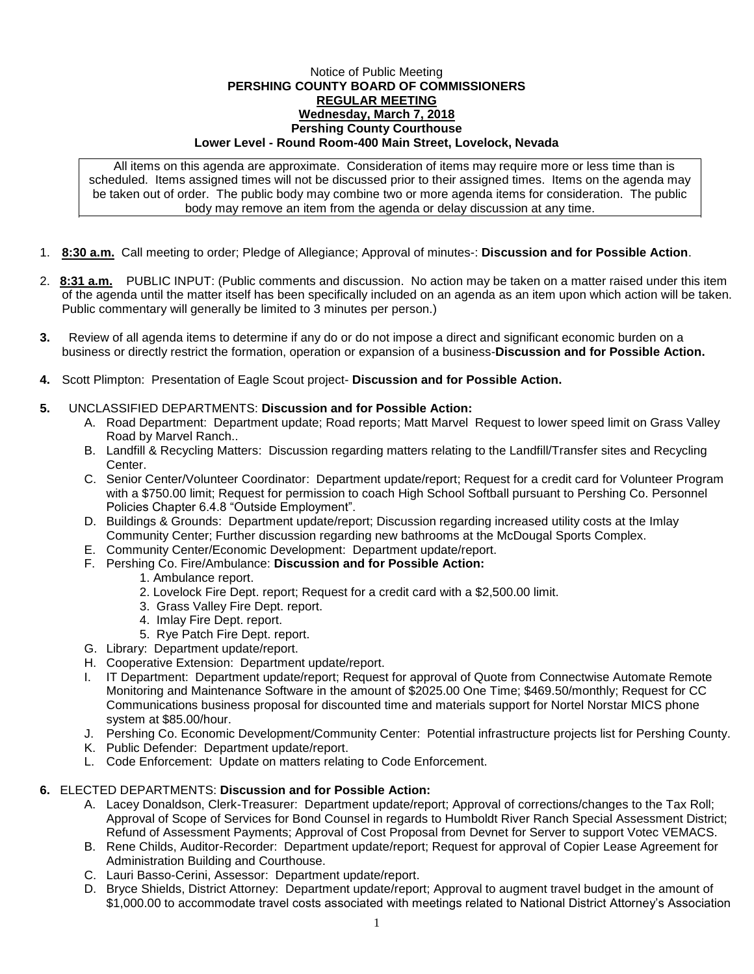## Notice of Public Meeting **PERSHING COUNTY BOARD OF COMMISSIONERS REGULAR MEETING Wednesday, March 7, 2018 Pershing County Courthouse Lower Level - Round Room-400 Main Street, Lovelock, Nevada**

All items on this agenda are approximate. Consideration of items may require more or less time than is scheduled. Items assigned times will not be discussed prior to their assigned times. Items on the agenda may be taken out of order. The public body may combine two or more agenda items for consideration. The public body may remove an item from the agenda or delay discussion at any time.

- 1. **8:30 a.m.** Call meeting to order; Pledge of Allegiance; Approval of minutes-: **Discussion and for Possible Action**.
- 2. **8:31 a.m.** PUBLIC INPUT: (Public comments and discussion. No action may be taken on a matter raised under this item of the agenda until the matter itself has been specifically included on an agenda as an item upon which action will be taken. Public commentary will generally be limited to 3 minutes per person.)
- **3.** Review of all agenda items to determine if any do or do not impose a direct and significant economic burden on a business or directly restrict the formation, operation or expansion of a business-**Discussion and for Possible Action.**
- **4.** Scott Plimpton: Presentation of Eagle Scout project- **Discussion and for Possible Action.**

## **5.** UNCLASSIFIED DEPARTMENTS: **Discussion and for Possible Action:**

- A. Road Department: Department update; Road reports; Matt Marvel Request to lower speed limit on Grass Valley Road by Marvel Ranch..
- B. Landfill & Recycling Matters: Discussion regarding matters relating to the Landfill/Transfer sites and Recycling Center.
- C. Senior Center/Volunteer Coordinator: Department update/report; Request for a credit card for Volunteer Program with a \$750.00 limit; Request for permission to coach High School Softball pursuant to Pershing Co. Personnel Policies Chapter 6.4.8 "Outside Employment".
- D. Buildings & Grounds: Department update/report; Discussion regarding increased utility costs at the Imlay Community Center; Further discussion regarding new bathrooms at the McDougal Sports Complex.
- E. Community Center/Economic Development: Department update/report.
- F. Pershing Co. Fire/Ambulance: **Discussion and for Possible Action:**
	- 1. Ambulance report.
	- 2. Lovelock Fire Dept. report; Request for a credit card with a \$2,500.00 limit.
	- 3. Grass Valley Fire Dept. report.
	- 4. Imlay Fire Dept. report.
	- 5. Rye Patch Fire Dept. report.
- G. Library: Department update/report.
- H. Cooperative Extension: Department update/report.
- I. IT Department: Department update/report; Request for approval of Quote from Connectwise Automate Remote Monitoring and Maintenance Software in the amount of \$2025.00 One Time; \$469.50/monthly; Request for CC Communications business proposal for discounted time and materials support for Nortel Norstar MICS phone system at \$85.00/hour.
- J. Pershing Co. Economic Development/Community Center: Potential infrastructure projects list for Pershing County.
- K. Public Defender: Department update/report.
- L. Code Enforcement: Update on matters relating to Code Enforcement.

## **6.** ELECTED DEPARTMENTS: **Discussion and for Possible Action:**

- A. Lacey Donaldson, Clerk-Treasurer: Department update/report; Approval of corrections/changes to the Tax Roll; Approval of Scope of Services for Bond Counsel in regards to Humboldt River Ranch Special Assessment District; Refund of Assessment Payments; Approval of Cost Proposal from Devnet for Server to support Votec VEMACS.
- B. Rene Childs, Auditor-Recorder: Department update/report; Request for approval of Copier Lease Agreement for Administration Building and Courthouse.
- C. Lauri Basso-Cerini, Assessor: Department update/report.
- D. Bryce Shields, District Attorney: Department update/report; Approval to augment travel budget in the amount of \$1,000.00 to accommodate travel costs associated with meetings related to National District Attorney's Association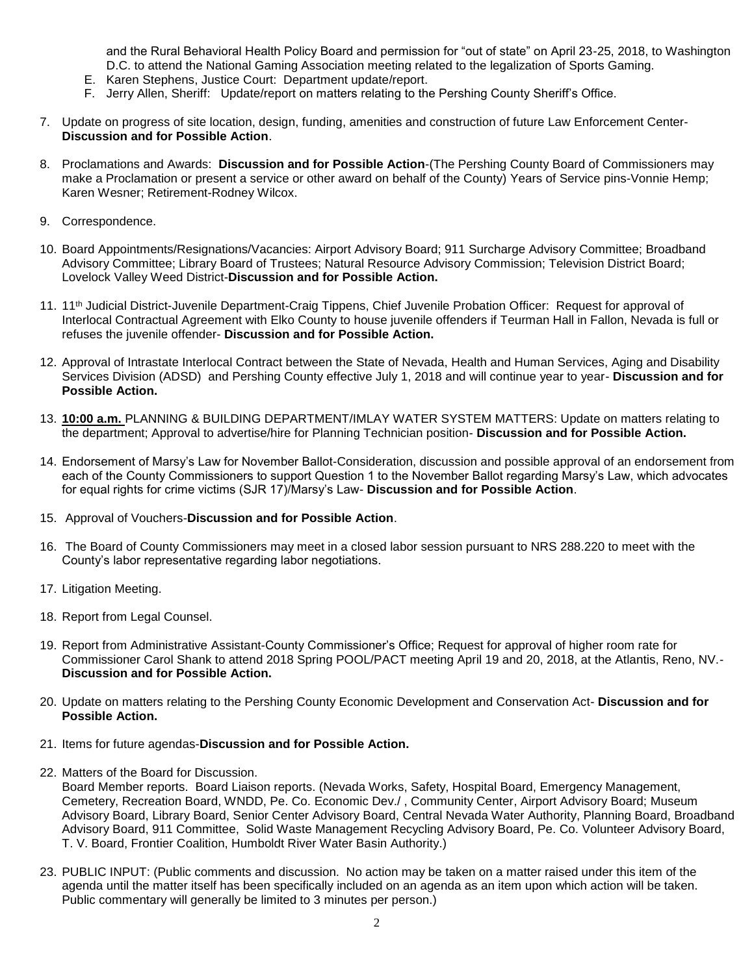and the Rural Behavioral Health Policy Board and permission for "out of state" on April 23-25, 2018, to Washington D.C. to attend the National Gaming Association meeting related to the legalization of Sports Gaming.

- E. Karen Stephens, Justice Court: Department update/report.
- F. Jerry Allen, Sheriff: Update/report on matters relating to the Pershing County Sheriff's Office.
- 7. Update on progress of site location, design, funding, amenities and construction of future Law Enforcement Center-**Discussion and for Possible Action**.
- 8. Proclamations and Awards: **Discussion and for Possible Action**-(The Pershing County Board of Commissioners may make a Proclamation or present a service or other award on behalf of the County) Years of Service pins-Vonnie Hemp; Karen Wesner; Retirement-Rodney Wilcox.
- 9. Correspondence.
- 10. Board Appointments/Resignations/Vacancies: Airport Advisory Board; 911 Surcharge Advisory Committee; Broadband Advisory Committee; Library Board of Trustees; Natural Resource Advisory Commission; Television District Board; Lovelock Valley Weed District-**Discussion and for Possible Action.**
- 11. 11th Judicial District-Juvenile Department-Craig Tippens, Chief Juvenile Probation Officer: Request for approval of Interlocal Contractual Agreement with Elko County to house juvenile offenders if Teurman Hall in Fallon, Nevada is full or refuses the juvenile offender- **Discussion and for Possible Action.**
- 12. Approval of Intrastate Interlocal Contract between the State of Nevada, Health and Human Services, Aging and Disability Services Division (ADSD) and Pershing County effective July 1, 2018 and will continue year to year- **Discussion and for Possible Action.**
- 13. **10:00 a.m.** PLANNING & BUILDING DEPARTMENT/IMLAY WATER SYSTEM MATTERS: Update on matters relating to the department; Approval to advertise/hire for Planning Technician position- **Discussion and for Possible Action.**
- 14. Endorsement of Marsy's Law for November Ballot-Consideration, discussion and possible approval of an endorsement from each of the County Commissioners to support Question 1 to the November Ballot regarding Marsy's Law, which advocates for equal rights for crime victims (SJR 17)/Marsy's Law- **Discussion and for Possible Action**.
- 15. Approval of Vouchers-**Discussion and for Possible Action**.
- 16. The Board of County Commissioners may meet in a closed labor session pursuant to NRS 288.220 to meet with the County's labor representative regarding labor negotiations.
- 17. Litigation Meeting.
- 18. Report from Legal Counsel.
- 19. Report from Administrative Assistant-County Commissioner's Office; Request for approval of higher room rate for Commissioner Carol Shank to attend 2018 Spring POOL/PACT meeting April 19 and 20, 2018, at the Atlantis, Reno, NV.- **Discussion and for Possible Action.**
- 20. Update on matters relating to the Pershing County Economic Development and Conservation Act- **Discussion and for Possible Action.**
- 21. Items for future agendas-**Discussion and for Possible Action.**
- 22. Matters of the Board for Discussion.

Board Member reports. Board Liaison reports. (Nevada Works, Safety, Hospital Board, Emergency Management, Cemetery, Recreation Board, WNDD, Pe. Co. Economic Dev./ , Community Center, Airport Advisory Board; Museum Advisory Board, Library Board, Senior Center Advisory Board, Central Nevada Water Authority, Planning Board, Broadband Advisory Board, 911 Committee, Solid Waste Management Recycling Advisory Board, Pe. Co. Volunteer Advisory Board, T. V. Board, Frontier Coalition, Humboldt River Water Basin Authority.)

23. PUBLIC INPUT: (Public comments and discussion. No action may be taken on a matter raised under this item of the agenda until the matter itself has been specifically included on an agenda as an item upon which action will be taken. Public commentary will generally be limited to 3 minutes per person.)